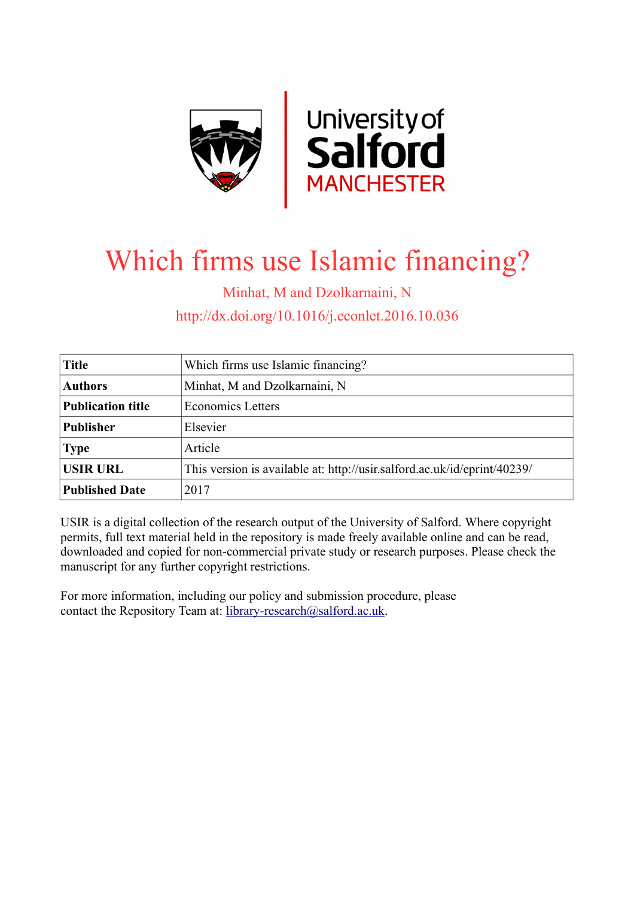

# Which firms use Islamic financing?

Minhat, M and Dzolkarnaini, N

http://dx.doi.org/10.1016/j.econlet.2016.10.036

| <b>Title</b>             | Which firms use Islamic financing?                                       |
|--------------------------|--------------------------------------------------------------------------|
| <b>Authors</b>           | Minhat, M and Dzolkarnaini, N                                            |
| <b>Publication title</b> | <b>Economics Letters</b>                                                 |
| <b>Publisher</b>         | Elsevier                                                                 |
| <b>Type</b>              | Article                                                                  |
| <b>USIR URL</b>          | This version is available at: http://usir.salford.ac.uk/id/eprint/40239/ |
| <b>Published Date</b>    | 2017                                                                     |

USIR is a digital collection of the research output of the University of Salford. Where copyright permits, full text material held in the repository is made freely available online and can be read, downloaded and copied for non-commercial private study or research purposes. Please check the manuscript for any further copyright restrictions.

For more information, including our policy and submission procedure, please contact the Repository Team at: [library-research@salford.ac.uk.](mailto:library-research@salford.ac.uk)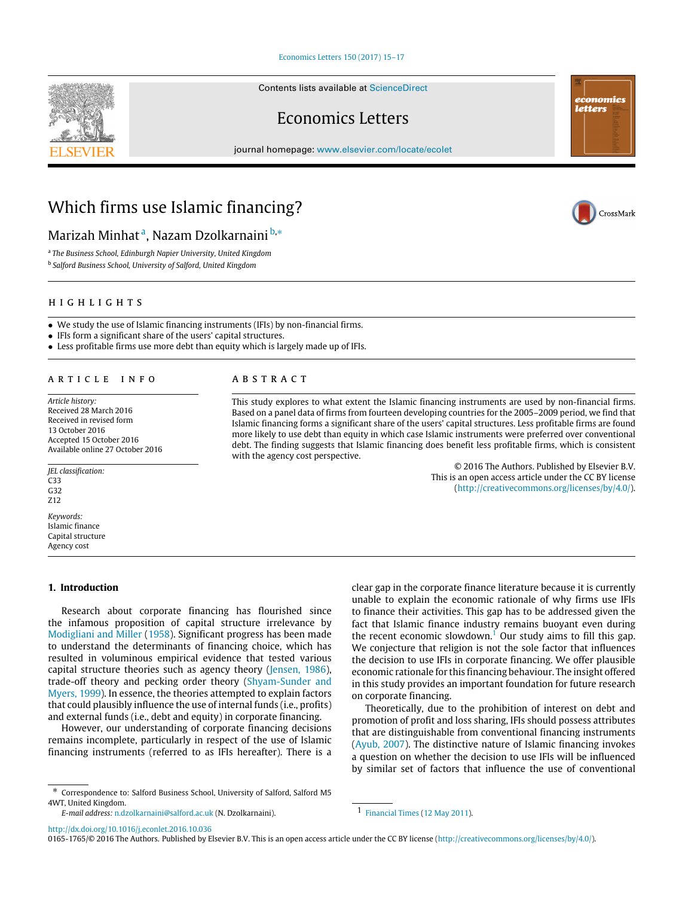#### [Economics Letters 150 \(2017\) 15–17](http://dx.doi.org/10.1016/j.econlet.2016.10.036)

Contents lists available at [ScienceDirect](http://www.elsevier.com/locate/ecolet)

## Economics Letters

journal homepage: [www.elsevier.com/locate/ecolet](http://www.elsevier.com/locate/ecolet)

# Which firms use Islamic financing?

### M[a](#page-1-0)rizah Minhat<sup>a</sup>, Nazam Dzolkarnaini <sup>[b,](#page-1-1)</sup>\*

<span id="page-1-0"></span>a *The Business School, Edinburgh Napier University, United Kingdom*

<span id="page-1-1"></span>b *Salford Business School, University of Salford, United Kingdom*

#### h i g h l i g h t s

• We study the use of Islamic financing instruments (IFIs) by non-financial firms.

• IFIs form a significant share of the users' capital structures.

• Less profitable firms use more debt than equity which is largely made up of IFIs.

#### ARTICLE INFO

*Article history:* Received 28 March 2016 Received in revised form 13 October 2016 Accepted 15 October 2016 Available online 27 October 2016

*JEL classification:* C33 G32 Z12 *Keywords:*

Islamic finance Capital structure Agency cost

#### **1. Introduction**

Research about corporate financing has flourished since the infamous proposition of capital structure irrelevance by [Modigliani](#page-3-0) [and](#page-3-0) [Miller](#page-3-0) [\(1958\)](#page-3-0). Significant progress has been made to understand the determinants of financing choice, which has resulted in voluminous empirical evidence that tested various capital structure theories such as agency theory [\(Jensen,](#page-3-1) [1986\)](#page-3-1), trade-off theory and pecking order theory [\(Shyam-Sunder](#page-3-2) [and](#page-3-2) [Myers,](#page-3-2) [1999\)](#page-3-2). In essence, the theories attempted to explain factors that could plausibly influence the use of internal funds (i.e., profits) and external funds (i.e., debt and equity) in corporate financing.

However, our understanding of corporate financing decisions remains incomplete, particularly in respect of the use of Islamic financing instruments (referred to as IFIs hereafter). There is a

<span id="page-1-2"></span>∗ Correspondence to: Salford Business School, University of Salford, Salford M5 4WT, United Kingdom.

*E-mail address:* [n.dzolkarnaini@salford.ac.uk](mailto:n.dzolkarnaini@salford.ac.uk) (N. Dzolkarnaini).

a b s t r a c t

This study explores to what extent the Islamic financing instruments are used by non-financial firms. Based on a panel data of firms from fourteen developing countries for the 2005–2009 period, we find that Islamic financing forms a significant share of the users' capital structures. Less profitable firms are found more likely to use debt than equity in which case Islamic instruments were preferred over conventional debt. The finding suggests that Islamic financing does benefit less profitable firms, which is consistent with the agency cost perspective.

> © 2016 The Authors. Published by Elsevier B.V. This is an open access article under the CC BY license [\(http://creativecommons.org/licenses/by/4.0/\)](http://creativecommons.org/licenses/by/4.0/).

clear gap in the corporate finance literature because it is currently unable to explain the economic rationale of why firms use IFIs to finance their activities. This gap has to be addressed given the fact that Islamic finance industry remains buoyant even during the recent economic slowdown.<sup>[1](#page-1-3)</sup> Our study aims to fill this gap. We conjecture that religion is not the sole factor that influences the decision to use IFIs in corporate financing. We offer plausible economic rationale for this financing behaviour. The insight offered in this study provides an important foundation for future research

Theoretically, due to the prohibition of interest on debt and promotion of profit and loss sharing, IFIs should possess attributes that are distinguishable from conventional financing instruments [\(Ayub,](#page-3-3) [2007\)](#page-3-3). The distinctive nature of Islamic financing invokes a question on whether the decision to use IFIs will be influenced by similar set of factors that influence the use of conventional

<span id="page-1-3"></span>1 [Financial](#page-3-4) [Times](#page-3-4) [\(12 May 2011\)](#page-3-4).

on corporate financing.

<http://dx.doi.org/10.1016/j.econlet.2016.10.036>

0165-1765/© 2016 The Authors. Published by Elsevier B.V. This is an open access article under the CC BY license [\(http://creativecommons.org/licenses/by/4.0/\)](http://creativecommons.org/licenses/by/4.0/).





economics letters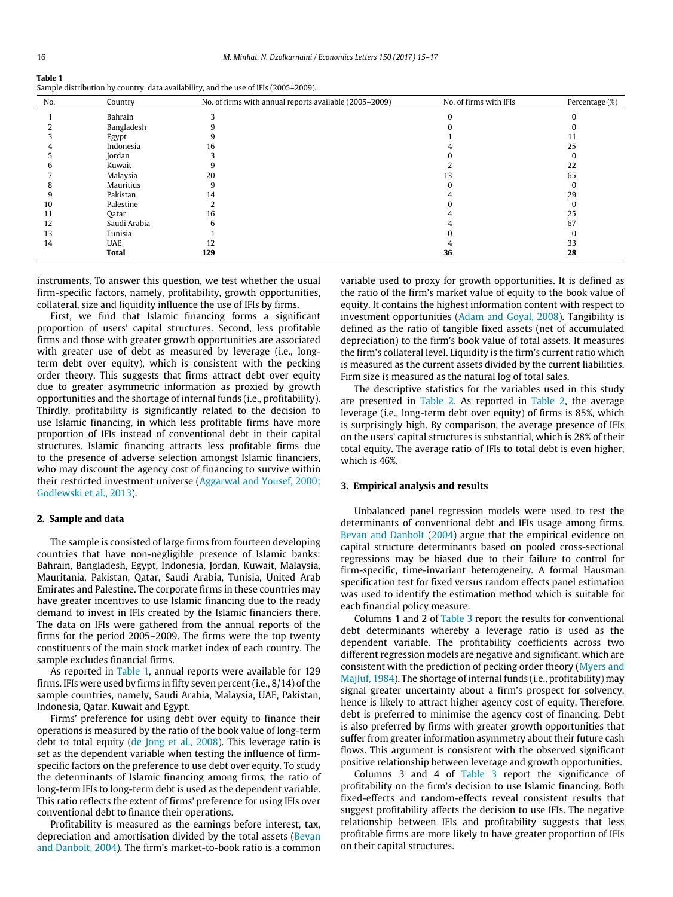<span id="page-2-0"></span>

| Table 1                                                                             |
|-------------------------------------------------------------------------------------|
| Sample distribution by country, data availability, and the use of IFIs (2005–2009). |

| No. | Country      | No. of firms with annual reports available (2005-2009) | No. of firms with IFIs | Percentage (%) |
|-----|--------------|--------------------------------------------------------|------------------------|----------------|
|     | Bahrain      |                                                        |                        |                |
|     | Bangladesh   |                                                        |                        |                |
|     | Egypt        |                                                        |                        |                |
|     | Indonesia    | 16                                                     |                        | 25             |
|     | Jordan       |                                                        |                        |                |
|     | Kuwait       |                                                        |                        | 22             |
|     | Malaysia     | 20                                                     |                        | 65             |
|     | Mauritius    | 9                                                      |                        |                |
|     | Pakistan     | 14                                                     |                        | 29             |
| 10  | Palestine    |                                                        |                        |                |
|     | Qatar        | 16                                                     |                        | 25             |
| 12  | Saudi Arabia |                                                        |                        | 67             |
| 13  | Tunisia      |                                                        |                        |                |
| 14  | UAE          | 12                                                     |                        | 33             |
|     | <b>Total</b> | 129                                                    | 36                     | 28             |

instruments. To answer this question, we test whether the usual firm-specific factors, namely, profitability, growth opportunities, collateral, size and liquidity influence the use of IFIs by firms.

First, we find that Islamic financing forms a significant proportion of users' capital structures. Second, less profitable firms and those with greater growth opportunities are associated with greater use of debt as measured by leverage (i.e., longterm debt over equity), which is consistent with the pecking order theory. This suggests that firms attract debt over equity due to greater asymmetric information as proxied by growth opportunities and the shortage of internal funds (i.e., profitability). Thirdly, profitability is significantly related to the decision to use Islamic financing, in which less profitable firms have more proportion of IFIs instead of conventional debt in their capital structures. Islamic financing attracts less profitable firms due to the presence of adverse selection amongst Islamic financiers, who may discount the agency cost of financing to survive within their restricted investment universe [\(Aggarwal](#page-3-5) [and](#page-3-5) [Yousef,](#page-3-5) [2000;](#page-3-5) [Godlewski](#page-3-6) [et al.,](#page-3-6) [2013\)](#page-3-6).

#### **2. Sample and data**

The sample is consisted of large firms from fourteen developing countries that have non-negligible presence of Islamic banks: Bahrain, Bangladesh, Egypt, Indonesia, Jordan, Kuwait, Malaysia, Mauritania, Pakistan, Qatar, Saudi Arabia, Tunisia, United Arab Emirates and Palestine. The corporate firms in these countries may have greater incentives to use Islamic financing due to the ready demand to invest in IFIs created by the Islamic financiers there. The data on IFIs were gathered from the annual reports of the firms for the period 2005–2009. The firms were the top twenty constituents of the main stock market index of each country. The sample excludes financial firms.

As reported in [Table 1,](#page-2-0) annual reports were available for 129 firms. IFIs were used by firms in fifty seven percent (i.e., 8/14) of the sample countries, namely, Saudi Arabia, Malaysia, UAE, Pakistan, Indonesia, Qatar, Kuwait and Egypt.

Firms' preference for using debt over equity to finance their operations is measured by the ratio of the book value of long-term debt to total equity [\(de](#page-3-7) [Jong](#page-3-7) [et al.,](#page-3-7) [2008\)](#page-3-7). This leverage ratio is set as the dependent variable when testing the influence of firmspecific factors on the preference to use debt over equity. To study the determinants of Islamic financing among firms, the ratio of long-term IFIs to long-term debt is used as the dependent variable. This ratio reflects the extent of firms' preference for using IFIs over conventional debt to finance their operations.

Profitability is measured as the earnings before interest, tax, depreciation and amortisation divided by the total assets [\(Bevan](#page-3-8) [and](#page-3-8) [Danbolt,](#page-3-8) [2004\)](#page-3-8). The firm's market-to-book ratio is a common variable used to proxy for growth opportunities. It is defined as the ratio of the firm's market value of equity to the book value of equity. It contains the highest information content with respect to investment opportunities [\(Adam](#page-3-9) [and](#page-3-9) [Goyal,](#page-3-9) [2008\)](#page-3-9). Tangibility is defined as the ratio of tangible fixed assets (net of accumulated depreciation) to the firm's book value of total assets. It measures the firm's collateral level. Liquidity is the firm's current ratio which is measured as the current assets divided by the current liabilities. Firm size is measured as the natural log of total sales.

The descriptive statistics for the variables used in this study are presented in [Table 2.](#page-3-10) As reported in [Table 2,](#page-3-10) the average leverage (i.e., long-term debt over equity) of firms is 85%, which is surprisingly high. By comparison, the average presence of IFIs on the users' capital structures is substantial, which is 28% of their total equity. The average ratio of IFIs to total debt is even higher, which is 46%.

#### **3. Empirical analysis and results**

Unbalanced panel regression models were used to test the determinants of conventional debt and IFIs usage among firms. [Bevan](#page-3-8) [and](#page-3-8) [Danbolt](#page-3-8) [\(2004\)](#page-3-8) argue that the empirical evidence on capital structure determinants based on pooled cross-sectional regressions may be biased due to their failure to control for firm-specific, time-invariant heterogeneity. A formal Hausman specification test for fixed versus random effects panel estimation was used to identify the estimation method which is suitable for each financial policy measure.

Columns 1 and 2 of [Table 3](#page-3-11) report the results for conventional debt determinants whereby a leverage ratio is used as the dependent variable. The profitability coefficients across two different regression models are negative and significant, which are consistent with the prediction of pecking order theory [\(Myers](#page-3-12) [and](#page-3-12) [Majluf,](#page-3-12) [1984\)](#page-3-12). The shortage of internal funds (i.e., profitability) may signal greater uncertainty about a firm's prospect for solvency, hence is likely to attract higher agency cost of equity. Therefore, debt is preferred to minimise the agency cost of financing. Debt is also preferred by firms with greater growth opportunities that suffer from greater information asymmetry about their future cash flows. This argument is consistent with the observed significant positive relationship between leverage and growth opportunities.

Columns 3 and 4 of [Table 3](#page-3-11) report the significance of profitability on the firm's decision to use Islamic financing. Both fixed-effects and random-effects reveal consistent results that suggest profitability affects the decision to use IFIs. The negative relationship between IFIs and profitability suggests that less profitable firms are more likely to have greater proportion of IFIs on their capital structures.